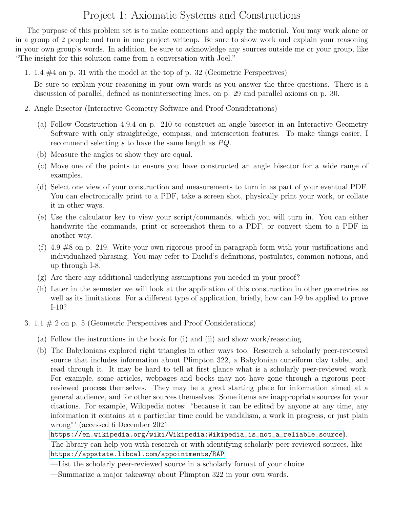## Project 1: Axiomatic Systems and Constructions

The purpose of this problem set is to make connections and apply the material. You may work alone or in a group of 2 people and turn in one project writeup. Be sure to show work and explain your reasoning in your own group's words. In addition, be sure to acknowledge any sources outside me or your group, like "The insight for this solution came from a conversation with Joel."

1. 1.4 #4 on p. 31 with the model at the top of p. 32 (Geometric Perspectives)

Be sure to explain your reasoning in your own words as you answer the three questions. There is a discussion of parallel, defined as nonintersecting lines, on p. 29 and parallel axioms on p. 30.

- 2. Angle Bisector (Interactive Geometry Software and Proof Considerations)
	- (a) Follow Construction 4.9.4 on p. 210 to construct an angle bisector in an Interactive Geometry Software with only straightedge, compass, and intersection features. To make things easier, I recommend selecting s to have the same length as  $\overline{PQ}$ .
	- (b) Measure the angles to show they are equal.
	- (c) Move one of the points to ensure you have constructed an angle bisector for a wide range of examples.
	- (d) Select one view of your construction and measurements to turn in as part of your eventual PDF. You can electronically print to a PDF, take a screen shot, physically print your work, or collate it in other ways.
	- (e) Use the calculator key to view your script/commands, which you will turn in. You can either handwrite the commands, print or screenshot them to a PDF, or convert them to a PDF in another way.
	- (f) 4.9 #8 on p. 219. Write your own rigorous proof in paragraph form with your justifications and individualized phrasing. You may refer to Euclid's definitions, postulates, common notions, and up through I-8.
	- (g) Are there any additional underlying assumptions you needed in your proof?
	- (h) Later in the semester we will look at the application of this construction in other geometries as well as its limitations. For a different type of application, briefly, how can I-9 be applied to prove I-10?
- 3. 1.1 # 2 on p. 5 (Geometric Perspectives and Proof Considerations)
	- (a) Follow the instructions in the book for (i) and (ii) and show work/reasoning.
	- (b) The Babylonians explored right triangles in other ways too. Research a scholarly peer-reviewed source that includes information about Plimpton 322, a Babylonian cuneiform clay tablet, and read through it. It may be hard to tell at first glance what is a scholarly peer-reviewed work. For example, some articles, webpages and books may not have gone through a rigorous peerreviewed process themselves. They may be a great starting place for information aimed at a general audience, and for other sources themselves. Some items are inappropriate sources for your citations. For example, Wikipedia notes: "because it can be edited by anyone at any time, any information it contains at a particular time could be vandalism, a work in progress, or just plain wrong"' (accessed 6 December 2021

## [https://en.wikipedia.org/wiki/Wikipedia:Wikipedia\\_is\\_not\\_a\\_reliable\\_source](https://en.wikipedia.org/wiki/Wikipedia:Wikipedia_is_not_a_reliable_source)).

The library can help you with research or with identifying scholarly peer-reviewed sources, like <https://appstate.libcal.com/appointments/RAP>

- —List the scholarly peer-reviewed source in a scholarly format of your choice.
- —Summarize a major takeaway about Plimpton 322 in your own words.